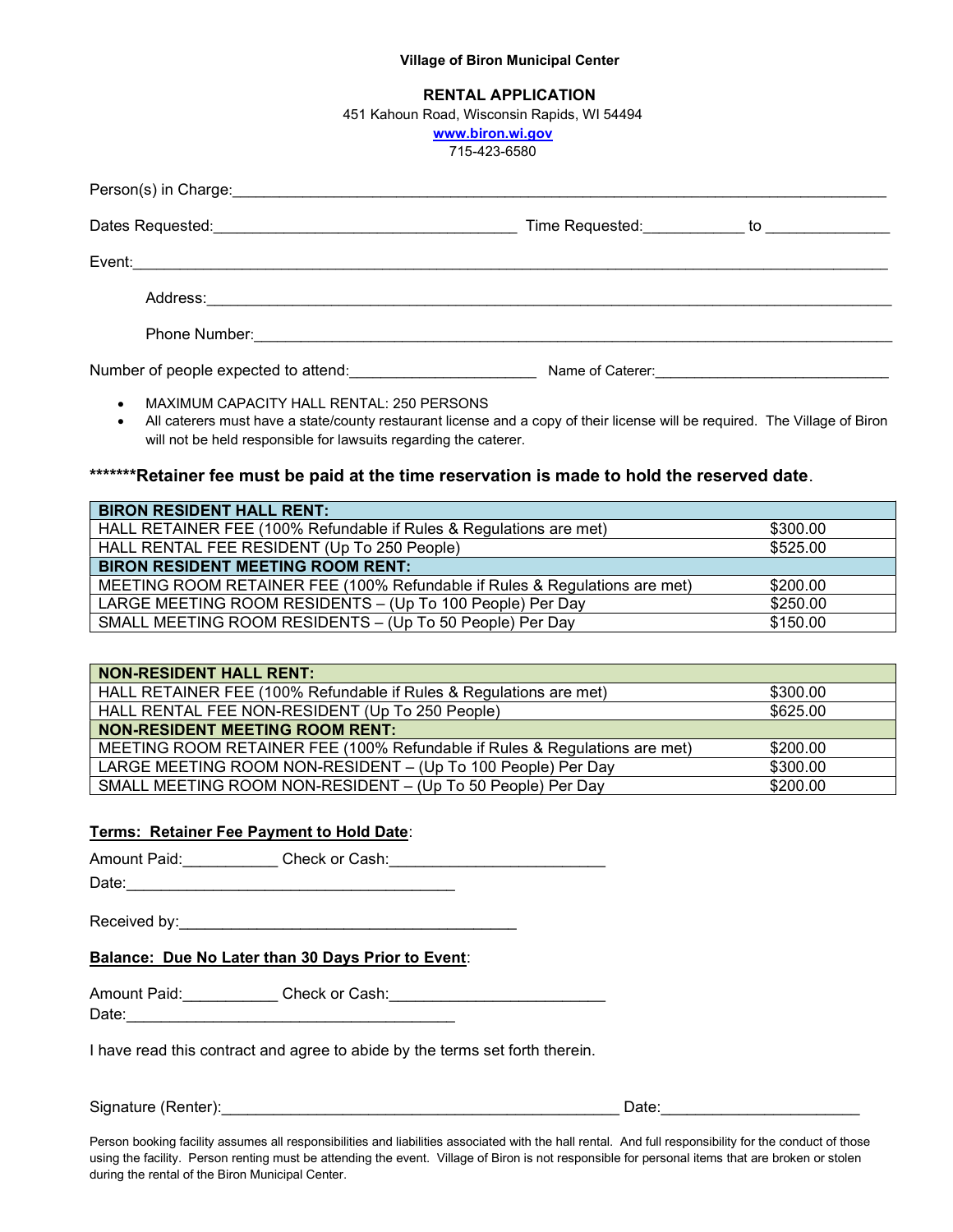#### Village of Biron Municipal Center

### RENTAL APPLICATION

451 Kahoun Road, Wisconsin Rapids, WI 54494

www.biron.wi.gov

715-423-6580

|                                      | Time Requested: ____________ to _______________ |  |
|--------------------------------------|-------------------------------------------------|--|
|                                      |                                                 |  |
|                                      |                                                 |  |
|                                      |                                                 |  |
| Number of people expected to attend: |                                                 |  |

- MAXIMUM CAPACITY HALL RENTAL: 250 PERSONS
	- All caterers must have a state/county restaurant license and a copy of their license will be required. The Village of Biron will not be held responsible for lawsuits regarding the caterer.

# \*\*\*\*\*\*\*Retainer fee must be paid at the time reservation is made to hold the reserved date.

| <b>BIRON RESIDENT HALL RENT:</b>                                           |          |
|----------------------------------------------------------------------------|----------|
| HALL RETAINER FEE (100% Refundable if Rules & Regulations are met)         | \$300.00 |
| HALL RENTAL FEE RESIDENT (Up To 250 People)                                | \$525.00 |
| <b>BIRON RESIDENT MEETING ROOM RENT:</b>                                   |          |
| MEETING ROOM RETAINER FEE (100% Refundable if Rules & Regulations are met) | \$200.00 |
| LARGE MEETING ROOM RESIDENTS - (Up To 100 People) Per Day                  | \$250.00 |
| SMALL MEETING ROOM RESIDENTS - (Up To 50 People) Per Day                   | \$150.00 |

| <b>NON-RESIDENT HALL RENT:</b>                                             |          |
|----------------------------------------------------------------------------|----------|
| HALL RETAINER FEE (100% Refundable if Rules & Regulations are met)         | \$300.00 |
| HALL RENTAL FEE NON-RESIDENT (Up To 250 People)                            | \$625.00 |
| <b>NON-RESIDENT MEETING ROOM RENT:</b>                                     |          |
| MEETING ROOM RETAINER FEE (100% Refundable if Rules & Regulations are met) | \$200.00 |
| LARGE MEETING ROOM NON-RESIDENT - (Up To 100 People) Per Day               | \$300.00 |
| SMALL MEETING ROOM NON-RESIDENT - (Up To 50 People) Per Day                | \$200.00 |

### Terms: Retainer Fee Payment to Hold Date:

Amount Paid:\_\_\_\_\_\_\_\_\_\_\_ Check or Cash:\_\_\_\_\_\_\_\_\_\_\_\_\_\_\_\_\_\_\_\_\_\_\_\_\_

Date:\_\_\_\_\_\_\_\_\_\_\_\_\_\_\_\_\_\_\_\_\_\_\_\_\_\_\_\_\_\_\_\_\_\_\_\_\_\_

Received by:\_\_\_\_\_\_\_\_\_\_\_\_\_\_\_\_\_\_\_\_\_\_\_\_\_\_\_\_\_\_\_\_\_\_\_\_\_\_\_

### Balance: Due No Later than 30 Days Prior to Event:

Amount Paid: example Check or Cash:

Date:\_\_\_\_\_\_\_\_\_\_\_\_\_\_\_\_\_\_\_\_\_\_\_\_\_\_\_\_\_\_\_\_\_\_\_\_\_\_

I have read this contract and agree to abide by the terms set forth therein.

Signature (Renter):\_\_\_\_\_\_\_\_\_\_\_\_\_\_\_\_\_\_\_\_\_\_\_\_\_\_\_\_\_\_\_\_\_\_\_\_\_\_\_\_\_\_\_\_\_\_ Date:\_\_\_\_\_\_\_\_\_\_\_\_\_\_\_\_\_\_\_\_\_\_\_

Person booking facility assumes all responsibilities and liabilities associated with the hall rental. And full responsibility for the conduct of those using the facility. Person renting must be attending the event. Village of Biron is not responsible for personal items that are broken or stolen during the rental of the Biron Municipal Center.